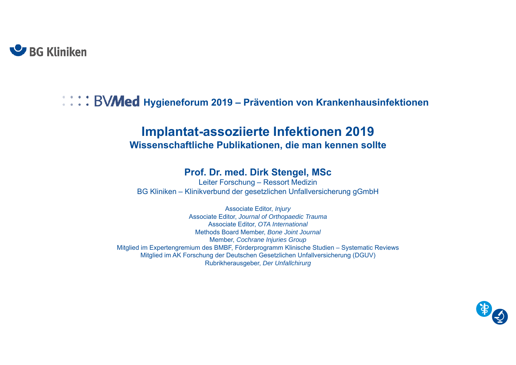

# **Hegger Hygieneforum 2019 – Prävention von Krankenhausinfektionen**

#### **Implantat-assoziierte Infektionen 2019 Wissenschaftliche Publikationen, die man kennen sollte**

#### **Prof. Dr. med. Dirk Stengel, MSc**

Leiter Forschung – Ressort Medizin BG Kliniken – Klinikverbund der gesetzlichen Unfallversicherung gGmbH

Associate Editor, *Injury* Associate Editor, *Journal of Orthopaedic Trauma* Associate Editor, *OTA International* Methods Board Member, *Bone Joint Journal* Member, *Cochrane Injuries Group* Mitglied im Expertengremium des BMBF, Förderprogramm Klinische Studien – Systematic Reviews Mitglied im AK Forschung der Deutschen Gesetzlichen Unfallversicherung (DGUV) Rubrikherausgeber, *Der Unfallchirurg*

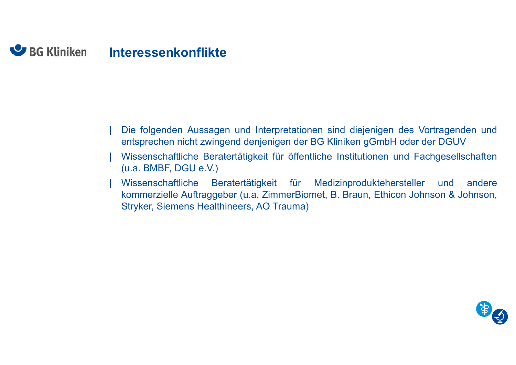#### **U** BG Kliniken **Interessenkonflikte**

- | Die folgenden Aussagen und Interpretationen sind diejenigen des Vortragenden und entsprechen nicht zwingend denjenigen der BG Kliniken gGmbH oder der DGUV
- | Wissenschaftliche Beratertätigkeit für öffentliche Institutionen und Fachgesellschaften (u.a. BMBF, DGU e.V.)
- | Wissenschaftliche Beratertätigkeit für Medizinproduktehersteller und andere kommerzielle Auftraggeber (u.a. ZimmerBiomet, B. Braun, Ethicon Johnson & Johnson, Stryker, Siemens Healthineers, AO Trauma)

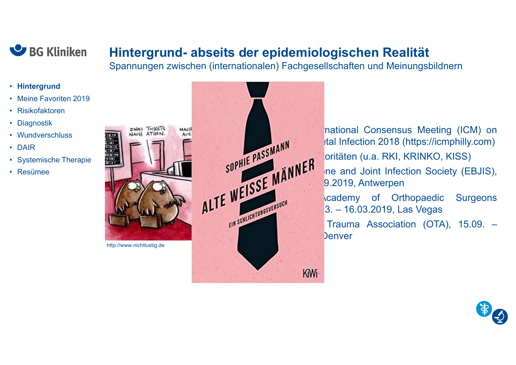

#### **Hintergrund- abseits der epidemiologischen Realität**

Spannungen zwischen (internationalen) Fachgesellschaften und Meinungsbildnern

- **Hintergrund**
- Meine Favoriten 2019
- Risikofaktoren
- Diagnostik
- Wundverschluss
- DAIR
- Systemische Therapie

欗  $\overline{10}$  $\frac{M(E)}{7|0|}$ 

• Resümee



national Consensus Meeting (ICM) on SOPHIE PASSMANN STREAM SURVERS STREAM AND STREAM AND STREAM AND STREAM AND SOCIETY (ED. IIS) oritäten (u.a. RKI, KRINKO, KISS) ne and Joint Infection Society (EBJIS), 9.2019. Antwerpen  $R = \frac{1}{2}$  Academy of Orthopaedic Surgeons<br>  $\frac{3. - 16.03.2019}{2}$  Las Venas 3. – 16.03.2019, Las Vegas Trauma Association (OTA), 15.09. – **Denver**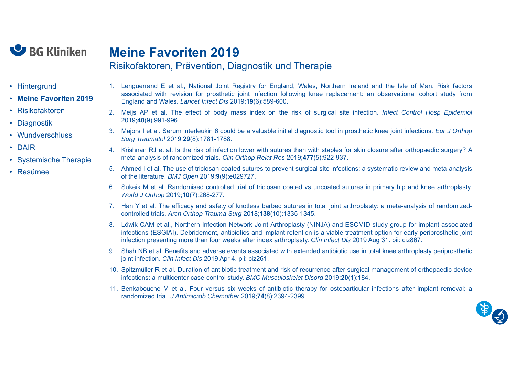

#### **Meine Favoriten 2019**

Risikofaktoren, Prävention, Diagnostik und Therapie

- Hintergrund
- **Meine Favoriten 2019**
- Risikofaktoren
- Diagnostik
- Wundverschluss
- DAIR
- Systemische Therapie
- Resümee
- 1. Lenguerrand E et al., National Joint Registry for England, Wales, Northern Ireland and the Isle of Man. Risk factors associated with revision for prosthetic joint infection following knee replacement: an observational cohort study from England and Wales. *Lancet Infect Dis* 2019;**19**(6):589-600.
- 2. Meijs AP et al. The effect of body mass index on the risk of surgical site infection. *Infect Control Hosp Epidemiol* 2019;**40**(9):991-996.
- 3. Majors I et al. Serum interleukin 6 could be <sup>a</sup> valuable initial diagnostic tool in prosthetic knee joint infections. *Eur J Orthop Surg Traumatol* 2019;**29**(8):1781-1788.
- 4. Krishnan RJ et al. Is the risk of infection lower with sutures than with staples for skin closure after orthopaedic surgery? A meta-analysis of randomized trials. *Clin Orthop Relat Res* 2019;**477**(5):922-937.
- 5. Ahmed I et al. The use of triclosan-coated sutures to prevent surgical site infections: <sup>a</sup> systematic review and meta-analysis of the literature. *BMJ Open* 2019;**9**(9):e029727.
- 6. Sukeik M et al. Randomised controlled trial of triclosan coated vs uncoated sutures in primary hip and knee arthroplasty. *World J Orthop* 2019;**10**(7):268-277.
- 7. Han Y et al. The efficacy and safety of knotless barbed sutures in total joint arthroplasty: <sup>a</sup> meta-analysis of randomizedcontrolled trials. *Arch Orthop Trauma Surg* 2018;**138**(10):1335-1345.
- 8. Löwik CAM et al., Northern Infection Network Joint Arthroplasty (NINJA) and ESCMID study group for implant-associated infections (ESGIAI). Debridement, antibiotics and implant retention is <sup>a</sup> viable treatment option for early periprosthetic joint infection presenting more than four weeks after index arthroplasty. *Clin Infect Dis* 2019 Aug 31. pii: ciz867.
- 9. Shah NB et al. Benefits and adverse events associated with extended antibiotic use in total knee arthroplasty periprosthetic joint infection. *Clin Infect Dis* 2019 Apr 4. pii: ciz261.
- 10. Spitzmüller R et al. Duration of antibiotic treatment and risk of recurrence after surgical management of orthopaedic device infections: <sup>a</sup> multicenter case-control study. *BMC Musculoskelet Disord* 2019;**20**(1):184.
- 11. Benkabouche M et al. Four versus six weeks of antibiotic therapy for osteoarticular infections after implant removal: <sup>a</sup> randomized trial. *J Antimicrob Chemother* 2019;**74**(8):2394-2399.

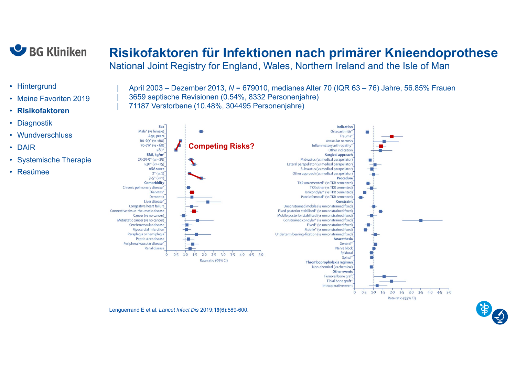

### **Risikofaktoren für Infektionen nach primärer Knieendoprothese**

National Joint Registry for England, Wales, Northern Ireland and the Isle of Man

- Hintergrund
- •Meine Favoriten 2019
- •**Risikofaktoren**
- •**Diagnostik**
- Wundverschluss
- DAIR
- Systemische Therapie
- Resümee

| April 2003 – Dezember 2013, *N* = 679010, medianes Alter 70 (IQR 63 – 76) Jahre, 56.85% Frauen | 3659 septische Revisionen (0.54%, 8332 Personenjahre) | 71187 Verstorbene (10.48%, 304495 Personenjahre)



Lenguerrand E et al. *Lancet Infect Dis* 2019;**19**(6):589-600.

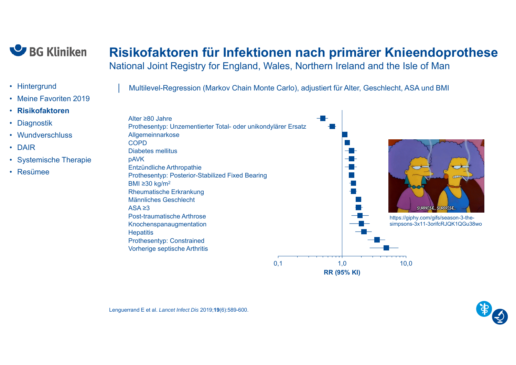

### **Risikofaktoren für Infektionen nach primärer Knieendoprothese**

National Joint Registry for England, Wales, Northern Ireland and the Isle of Man

- Hintergrund
- Meine Favoriten 2019
- **Risikofaktoren**
- •**Diagnostik**
- Wundverschluss
- DAIR
- Systemische Therapie
- Resümee

│ Multilevel-Regression (Markov Chain Monte Carlo), adjustiert für Alter, Geschlecht, ASA und BMI



**RR (95% KI)**

Lenguerrand E et al. *Lancet Infect Dis* 2019;**19**(6):589-600.

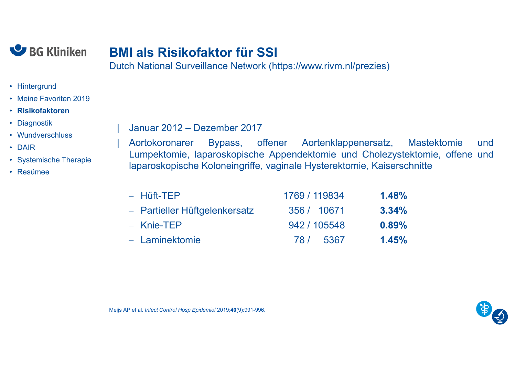

### **BMI als Risikofaktor für SSI**

Dutch National Surveillance Network (https://www.rivm.nl/prezies)

- Hintergrund
- Meine Favoriten 2019
- **Risikofaktoren**
- Diagnostik
- Wundverschluss
- DAIR
- Systemische Therapie
- Resümee

| Januar 2012 – Dezember 2017

| Aortokoronarer Bypass, offener Aortenklappenersatz, Mastektomie und Lumpektomie, laparoskopische Appendektomie und Cholezystektomie, offene und laparoskopische Koloneingriffe, vaginale Hysterektomie, Kaiserschnitte

| $-$ Hüft-TEP                  | 1769 / 119834 | $1.48\%$ |
|-------------------------------|---------------|----------|
| - Partieller Hüftgelenkersatz | 356 / 10671   | $3.34\%$ |
| $-$ Knie-TEP                  | 942 / 105548  | $0.89\%$ |
| - Laminektomie                | 78 / 5367     | 1.45%    |

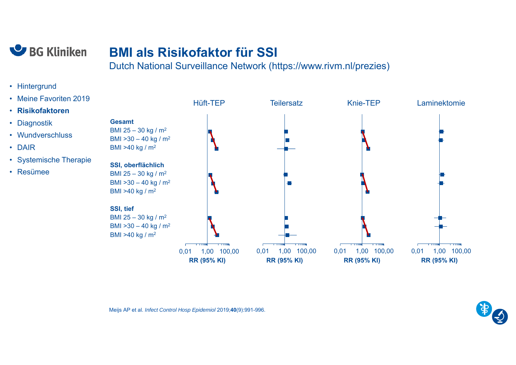

### **BMI als Risikofaktor für SSI**

Dutch National Surveillance Network (https://www.rivm.nl/prezies)

- Hintergrund
- Meine Favoriten 2019
- **Risikofaktoren**
- Diagnostik
- Wundverschluss
- DAIR
- Systemische Therapie
- Resümee



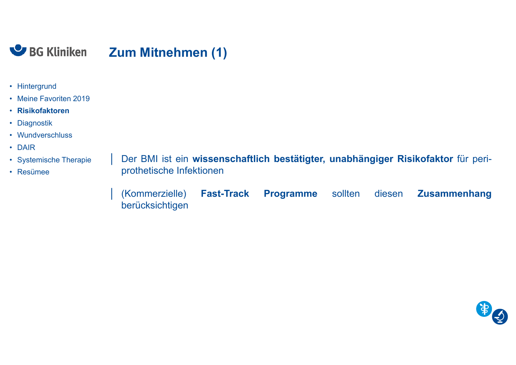

- Hintergrund
- Meine Favoriten 2019
- **Risikofaktoren**
- Diagnostik
- Wundverschluss
- DAIR
- Systemische Therapie
- Resümee

│ Der BMI ist ein **wissenschaftlich bestätigter, unabhängiger Risikofaktor** für periprothetische Infektionen

│ (Kommerzielle) **Fast-Track Programme** sollten diesen **Zusammenhang** berücksichtigen

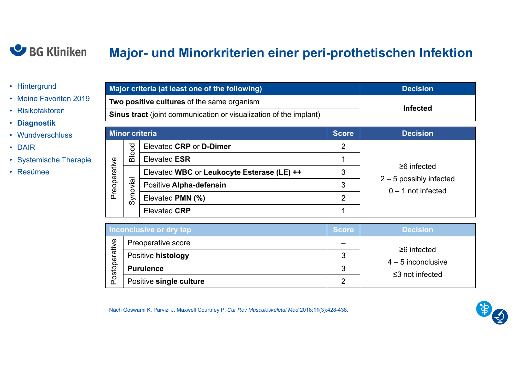#### BG Kliniken

### **Major- und Minorkriterien einer peri-prothetischen Infektion**

- Hintergrund
- Meine Favoriten 2019
- Risikofaktoren
- **Diagnostik**
- Wundverschluss
- DAIR
- Systemische Therapie
- Resümee

| Major criteria (at least one of the following)                           | <b>Decision</b> |  |
|--------------------------------------------------------------------------|-----------------|--|
| <b>Two positive cultures of the same organism</b>                        |                 |  |
| <b>Sinus tract</b> (joint communication or visualization of the implant) | <b>Infected</b> |  |

|              |          | <b>Minor criteria</b>                      | <b>Score</b> | <b>Decision</b>                                |
|--------------|----------|--------------------------------------------|--------------|------------------------------------------------|
|              | ठ        | Elevated CRP or D-Dimer                    | 2            |                                                |
|              | Blo      | <b>Elevated ESR</b>                        |              |                                                |
| Preoperative | Synovial | Elevated WBC or Leukocyte Esterase (LE) ++ | 3            | $\geq 6$ infected<br>$2 - 5$ possibly infected |
|              |          | Positive Alpha-defensin                    | 3            | $0 - 1$ not infected                           |
|              |          | Elevated PMN (%)                           | 2            |                                                |
|              |          | <b>Elevated CRP</b>                        |              |                                                |

|                         | Inconclusive or dry tap | <b>Score</b> | <b>Decision</b>                           |
|-------------------------|-------------------------|--------------|-------------------------------------------|
| $\overline{\mathbf{v}}$ | Preoperative score      |              |                                           |
| erativ                  | Positive histology      |              | $\geq 6$ infected<br>$4 - 5$ inconclusive |
| $\Omega$<br>losco       | <b>Purulence</b>        | 3            | $\leq$ 3 not infected                     |
|                         | Positive single culture | ◠            |                                           |

Nach Goswami K, Parvizi J, Maxwell Courtney P. *Cur Rev Musculoskeletal Med* 2018;**11**(3):428-438.

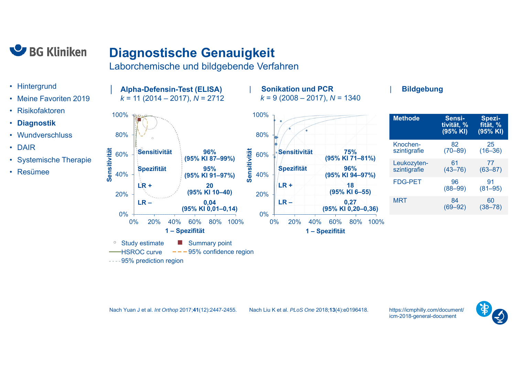

### **Diagnostische Genauigkeit**

│ **Alpha-Defensin-Test (ELISA)**

Laborchemische und bildgebende Verfahren

 $--- 95%$  confidence region

- Hintergrund
- Meine Favoriten 2019
- •Risikofaktoren
- **Diagnostik**
- Wundverschluss
- DAIR
- Systemische Therapie
- Resümee



#### | **Bildgebung**

| <b>Methode</b>              | Sensi-<br>tivität, %<br>(95% KI) | Spezi-<br>fität, %<br>(95% KI) |
|-----------------------------|----------------------------------|--------------------------------|
| Knochen-<br>szintigrafie    | 82<br>$(70 - 89)$                | 25<br>$(16 - 36)$              |
| Leukozyten-<br>szintigrafie | 61<br>$(43 - 76)$                | 77<br>$(63 - 87)$              |
| <b>FDG-PET</b>              | 96<br>$(88 - 99)$                | 91<br>$(81 - 95)$              |
| MRT                         | 84<br>$(69 - 92)$                | 60<br>$(38 - 78)$              |

Nach Yuan J et al. *Int Orthop* 2017;**41**(12):2447-2455.

HSROC curve

----95% prediction region

Nach Liu K et al. *PLoS One* 2018;**13**(4):e0196418.

| **Sonikation und PCR**

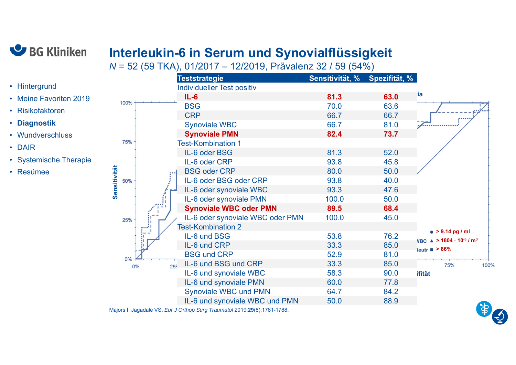

# **Interleukin-6 in Serum und Synovialflüssigkeit**

*N* = 52 (59 TKA), 01/2017 – 12/2019, Prävalenz 32 / 59 (54%)

|                        |              | <b>Teststrategie</b>                    | Sensitivität, % Spezifität, % |      |                                                            |
|------------------------|--------------|-----------------------------------------|-------------------------------|------|------------------------------------------------------------|
| • Hintergrund          |              | <b>Individueller Test positiv</b>       |                               |      |                                                            |
| • Meine Favoriten 2019 |              | $IL-6$                                  | 81.3                          | 63.0 | ia                                                         |
| · Risikofaktoren       | 100%         | <b>BSG</b>                              | 70.0                          | 63.6 |                                                            |
|                        |              | <b>CRP</b>                              | 66.7                          | 66.7 | ,,,,,,,                                                    |
| • Diagnostik           |              | <b>Synoviale WBC</b>                    | 66.7                          | 81.0 |                                                            |
| • Wundverschluss       |              | <b>Synoviale PMN</b>                    | 82.4                          | 73.7 |                                                            |
| • DAIR                 | 75%          | <b>Test-Kombination 1</b>               |                               |      |                                                            |
|                        |              | IL-6 oder BSG                           | 81.3                          | 52.0 |                                                            |
| • Systemische Therapie |              | IL-6 oder CRP                           | 93.8                          | 45.8 |                                                            |
| • Resümee              | Sensitivität | <b>BSG oder CRP</b>                     | 80.0                          | 50.0 |                                                            |
|                        | 50%          | IL-6 oder BSG oder CRP                  | 93.8                          | 40.0 |                                                            |
|                        |              | IL-6 oder synoviale WBC                 | 93.3                          | 47.6 |                                                            |
|                        |              | IL-6 oder synoviale PMN                 | 100.0                         | 50.0 |                                                            |
|                        |              | <b>Synoviale WBC oder PMN</b>           | 89.5                          | 68.4 |                                                            |
|                        | 25%          | IL-6 oder synoviale WBC oder PMN        | 100.0                         | 45.0 |                                                            |
|                        | المنتو       | <b>Test-Kombination 2</b>               |                               |      | • $> 9.14$ pg / ml                                         |
|                        | H            | IL-6 und BSG                            | 53.8                          | 76.2 | VBC $\triangle$ > 1804 · 10 <sup>-3</sup> / m <sup>3</sup> |
|                        |              | IL-6 und CRP                            | 33.3                          | 85.0 | leutr $\blacksquare$ > 86%                                 |
|                        | 0%           | <b>BSG und CRP</b>                      | 52.9                          | 81.0 |                                                            |
|                        | 0%           | IL-6 und BSG und CRP<br>25 <sup>c</sup> | 33.3                          | 85.0 | 75%<br>100%                                                |
|                        |              | IL-6 und synoviale WBC                  | 58.3                          | 90.0 | ifität                                                     |
|                        |              | IL-6 und synoviale PMN                  | 60.0                          | 77.8 |                                                            |
|                        |              | <b>Synoviale WBC und PMN</b>            | 64.7                          | 84.2 |                                                            |
|                        |              | IL-6 und synoviale WBC und PMN          | 50.0                          | 88.9 | <b>CA</b>                                                  |
|                        |              |                                         |                               |      |                                                            |

Majors I, Jagadale VS. *Eur J Orthop Surg Traumatol* 2019;**29**(8):1781-1788.

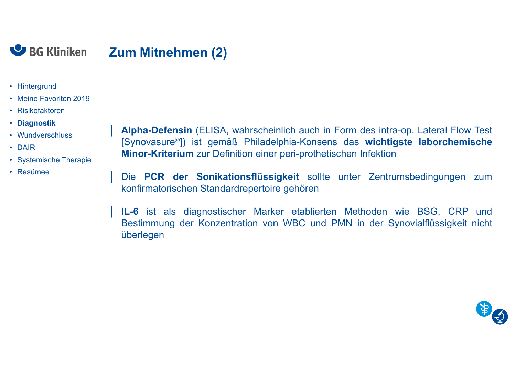

- Hintergrund
- Meine Favoriten 2019
- Risikofaktoren
- **Diagnostik**
- Wundverschluss
- DAIR
- Systemische Therapie
- Resümee

│ **Alpha-Defensin** (ELISA, wahrscheinlich auch in Form des intra-op. Lateral Flow Test [Synovasure®]) ist gemäß Philadelphia-Konsens das **wichtigste laborchemische Minor-Kriterium** zur Definition einer peri-prothetischen Infektion

│ Die **PCR der Sonikationsflüssigkeit** sollte unter Zentrumsbedingungen zum konfirmatorischen Standardrepertoire gehören

│ **IL-6** ist als diagnostischer Marker etablierten Methoden wie BSG, CRP und Bestimmung der Konzentration von WBC und PMN in der Synovialflüssigkeit nicht überlegen

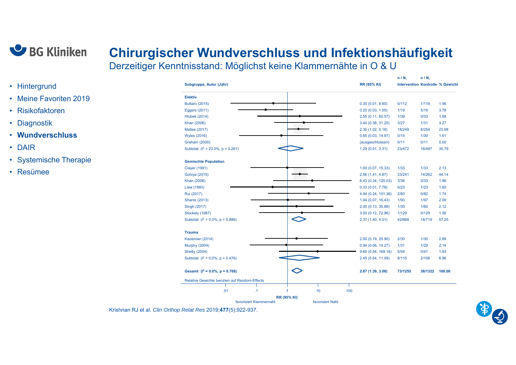

#### **Chirurgischer Wundverschluss und Infektionshäufigkeit** Derzeitiger Kenntnisstand: Möglichst keine Klammernähte in O & U

• Hintergrund

- Meine Favoriten 2019
- Risikofaktoren
- Diagnostik
- **Wundverschluss**
- DAIR
- Systemische Therapie
- Resümee

|                                               |                     | n / N,                                  | n / N,  |        |
|-----------------------------------------------|---------------------|-----------------------------------------|---------|--------|
| Subgruppe, Autor (Jahr)                       | <b>RR (95% KI)</b>  | <b>Intervention Kontrolle % Gewicht</b> |         |        |
| <b>Elektiv</b>                                |                     |                                         |         |        |
| <b>Buttaro (2015)</b>                         | 0.35(0.01, 8.60)    | 0/112                                   | 1/119   | 1.56   |
| <b>Eggers (2011)</b>                          | 0.20(0.03, 1.55)    | 1/19                                    | 5/19    | 3.78   |
| <b>Hlubek (2014)</b>                          | 2.55 (0.11, 60.57)  | 1/39                                    | 0/33    | 1.58   |
| Khan (2006)                                   | 3.44 (0.38, 31.20)  | 3/27                                    | 1/31    | 3.27   |
| <b>Mallee (2017)</b>                          | 2.30(1.02, 5.18)    | 18/249                                  | 8/254   | 23.98  |
| <b>Wyles (2016)</b>                           | 0.65(0.03, 14.97)   | 0/15                                    | 1/30    | 1.61   |
| <b>Graham (2000)</b>                          | (ausgeschlossen)    | 0/11                                    | 0/11    | 0.00   |
| Subtotal $(l^2 = 23.0\% , p = 0.261)$         | 1.29(0.51, 3.31)    | 23/472                                  | 16/497  | 35.79  |
| <b>Gemischte Population</b>                   |                     |                                         |         |        |
| <b>Clayer (1991)</b>                          | 1.00(0.07, 15.33)   | 1/33                                    | 1/33    | 2.13   |
| Gohiya (2015)                                 | 2.56(1.41, 4.67)    | 33/241                                  | 14/262  | 44.14  |
| Khan (2006)                                   | 6.43 (0.34, 120.03) | 3/36                                    | 0/33    | 1.86   |
| Liew (1993)                                   | 0.33(0.01, 7.78)    | 0/23                                    | 1/23    | 1.60   |
| Rui (2017)                                    | 4.94 (0.24, 101.36) | 2/83                                    | 0/82    | 1.74   |
| <b>Shantz (2013)</b>                          | 1.04(0.07, 16.43)   | 1/93                                    | 1/97    | 2.09   |
| Singh (2017)                                  | 2.00 (0.13, 30.88)  | 1/30                                    | 1/60    | 2.12   |
| Stockely (1987)                               | 3.00 (0.12, 72.96)  | 1/129                                   | 0/129   | 1.56   |
| Subtotal $(l^2 = 0.0\% , p = 0.886)$          | 2.37(1.40, 4.01)    | 42/668                                  | 18/719  | 57.25  |
| <b>Trauma</b>                                 |                     |                                         |         |        |
| Kazemian (2014)                               | 2.00 (0.19, 20.90)  | 2/30                                    | 1/30    | 2.89   |
| <b>Murphy (2004)</b>                          | 0.94(0.06, 14.27)   | $1/31$                                  | 1/29    | 2.14   |
| <b>Shetty (2004)</b>                          | 9.60 (0.54, 169.16) | 5/54                                    | 0/47    | 1.93   |
| Subtotal $(l^2 = 0.0\% , p = 0.476)$          | 2.45 (0.54, 11.09)  | 8/115                                   | 2/106   | 6.96   |
| Gesamt ( $I^2 = 0.0\%$ , $p = 0.768$ )        | 2.07 (1.39, 3.08)   | 73/1255                                 | 36/1322 | 100.00 |
| Relative Gewichte beruhen auf Random-Effects  |                     |                                         |         |        |
|                                               |                     |                                         |         |        |
| $\mathcal{A}$<br>1<br>.01                     | 10<br>100           |                                         |         |        |
| <b>RR (95% KI)</b><br>favorisiert Klammernaht | favorisiert Naht    |                                         |         |        |

Krishnan RJ et al. *Clin Orthop Relat Res* 2019;**477**(5):922-937.

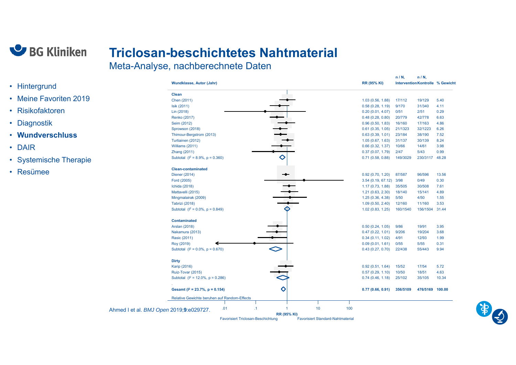

# **Triclosan-beschichtetes Nahtmaterial**

Meta-Analyse, nachberechnete Daten

|                        |                                         |                                              |                                           |    |                    |                                          |     |                                      | $n/N$ ,         | $n/N$ ,                          |              |
|------------------------|-----------------------------------------|----------------------------------------------|-------------------------------------------|----|--------------------|------------------------------------------|-----|--------------------------------------|-----------------|----------------------------------|--------------|
| • Hintergrund          |                                         | Wundklasse, Autor (Jahr)                     |                                           |    |                    |                                          |     | <b>RR (95% KI)</b>                   |                 | Intervention Kontrolle % Gewicht |              |
| • Meine Favoriten 2019 |                                         | Clean                                        |                                           |    |                    |                                          |     |                                      |                 |                                  |              |
|                        |                                         | Chen (2011)                                  |                                           |    |                    |                                          |     | 1.03(0.56, 1.88)                     | 17/112          | 19/129                           | 5.40         |
| • Risikofaktoren       |                                         | Isik (2011)<br>Lin (2018)                    |                                           |    |                    |                                          |     | 0.58(0.28, 1.19)<br>0.20(0.01, 4.07) | 9/170<br>0/51   | 31/340<br>2/51                   | 4.11<br>0.29 |
|                        |                                         | <b>Renko (2017)</b>                          |                                           |    |                    |                                          |     | 0.48(0.28, 0.80)                     | 20/779          | 42/778                           | 6.63         |
| Diagnostik<br>٠        |                                         | Seim (2012)                                  |                                           |    |                    |                                          |     | 0.96(0.50, 1.83)                     | 16/160          | 17/163                           | 4.86         |
|                        |                                         | Sprowson (2018)                              |                                           |    |                    |                                          |     | 0.61(0.35, 1.05)                     | 21/1323         | 32/1223                          | 6.26         |
| • Wundverschluss       |                                         | Thimour-Bergstrom (2013)                     |                                           |    |                    |                                          |     | 0.63(0.39, 1.01)                     | 23/184          | 38/190                           | 7.52         |
|                        |                                         | Turtiainen (2012)                            |                                           |    |                    |                                          |     | 1.05(0.67, 1.63)                     | 31/137<br>10/66 | 30/139<br>14/61                  | 8.24<br>3.98 |
| • DAIR                 |                                         | Williams (2011)<br>Zhang (2011)              |                                           |    |                    |                                          |     | 0.66(0.32, 1.37)<br>0.37(0.07, 1.79) | 2/47            | 5/43                             | 0.99         |
|                        |                                         | Subtotal $(l^2 = 8.9\%, p = 0.360)$          |                                           |    | ◇                  |                                          |     | 0.71(0.58, 0.88)                     | 149/3029        | 230/3117 48.28                   |              |
| • Systemische Therapie |                                         |                                              |                                           |    |                    |                                          |     |                                      |                 |                                  |              |
|                        |                                         | <b>Clean-contaminated</b>                    |                                           |    |                    |                                          |     |                                      |                 |                                  |              |
| • Resümee              |                                         | Diener (2014)                                |                                           |    | ⊸                  |                                          |     | 0.92(0.70, 1.20)                     | 87/587          | 96/596                           | 13.56        |
|                        |                                         | Ford (2005)                                  |                                           |    |                    |                                          |     | 3.54 (0.19, 67.12) 3/98              |                 | 0/49                             | 0.30         |
|                        |                                         | Ichida (2018)                                |                                           |    |                    |                                          |     | 1.17(0.73, 1.88)                     | 35/505          | 30/508                           | 7.61         |
|                        |                                         | Mattavelli (2015)                            |                                           |    |                    |                                          |     | 1.21(0.63, 2.30)                     | 18/140          | 15/141                           | 4.89         |
|                        |                                         | Mingmalairak (2009)                          |                                           |    |                    |                                          |     | 1.25(0.36, 4.38)                     | $5/50$          | 4/50                             | 1.55         |
|                        |                                         | <b>Tabrizi (2018)</b>                        |                                           |    |                    |                                          |     | 1.09(0.50, 2.40)                     | 12/160          | 11/160                           | 3.53         |
|                        |                                         | Subtotal $(l^2 = 0.0\% , p = 0.849)$         |                                           |    | ↷                  |                                          |     | 1.02(0.83, 1.25)                     | 160/1540        | 156/1504 31.44                   |              |
|                        |                                         | <b>Contaminated</b>                          |                                           |    |                    |                                          |     |                                      |                 |                                  |              |
|                        |                                         | <b>Arslan (2018)</b>                         |                                           |    |                    |                                          |     | 0.50(0.24, 1.05)                     | 9/86            | 19/91                            | 3.95         |
|                        |                                         | Nakamura (2013)                              |                                           |    |                    |                                          |     | 0.47(0.22, 1.01)                     | 9/206           | 19/204                           | 3.68         |
|                        |                                         | Rasic (2011)                                 |                                           |    |                    |                                          |     | 0.34(0.11, 1.02)                     | 4/91            | 12/93                            | 1.99         |
|                        |                                         | Roy (2019)                                   |                                           |    |                    |                                          |     | 0.09(0.01, 1.61)                     | 0/55            | 5/55                             | 0.31         |
|                        |                                         | Subtotal $(l^2 = 0.0\% , p = 0.670)$         |                                           |    | $\Diamond$         |                                          |     | 0.43(0.27, 0.70)                     | 22/438          | 55/443                           | 9.94         |
|                        |                                         | <b>Dirty</b>                                 |                                           |    |                    |                                          |     |                                      |                 |                                  |              |
|                        |                                         | <b>Karip (2016)</b>                          |                                           |    |                    |                                          |     | 0.92(0.51, 1.64)                     | 15/52           | 17/54                            | 5.72         |
|                        |                                         | Ruiz-Tovar (2015)                            |                                           |    |                    |                                          |     | 0.57(0.29, 1.10)                     | 10/50           | 18/51                            | 4.63         |
|                        |                                         | Subtotal $(l^2 = 12.0\% , p = 0.286)$        |                                           |    |                    |                                          |     | 0.74(0.46, 1.18)                     | 25/102          | 35/105                           | 10.34        |
|                        |                                         |                                              |                                           |    |                    |                                          |     |                                      |                 |                                  |              |
|                        |                                         | Gesamt ( $I^2 = 23.7\%$ , p = 0.154)         |                                           |    | ♦                  |                                          |     | 0.77(0.66, 0.91)                     | 356/5109        | 476/5169 100.00                  |              |
|                        |                                         | Relative Gewichte beruhen auf Random-Effects |                                           |    |                    |                                          |     |                                      |                 |                                  |              |
|                        |                                         |                                              |                                           |    |                    |                                          |     |                                      |                 |                                  |              |
|                        | Ahmed I et al. BMJ Open 2019;9:e029727. |                                              | .01                                       | .1 | $\overline{1}$     | 10                                       | 100 |                                      |                 |                                  |              |
|                        |                                         |                                              | <b>Favorisiert Triclosan-Beschichtung</b> |    | <b>RR (95% KI)</b> | <b>Favorisiert Standard-Nahtmaterial</b> |     |                                      |                 |                                  |              |

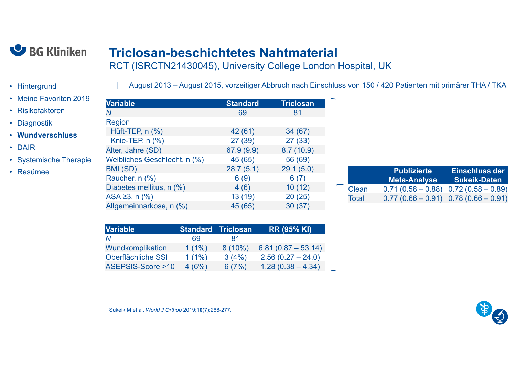

### **Triclosan-beschichtetes Nahtmaterial**

RCT (ISRCTN21430045), University College London Hospital, UK

| August 2013 – August 2015, vorzeitiger Abbruch nach Einschluss von 150 / 420 Patienten mit primärer THA / TKA

- Hintergrund
- Meine Favoriten 2019
- Risikofaktoren
- Diagnostik
- **Wundverschluss**
- DAIR
- Systemische Therapie
- Resümee

| <b>Variable</b>              | <b>Standard</b> | <b>Triclosan</b> |
|------------------------------|-----------------|------------------|
| Ν                            | 69              | 81               |
| Region                       |                 |                  |
| Hüft-TEP, n (%)              | 42 (61)         | 34(67)           |
| Knie-TEP, n (%)              | 27(39)          | 27(33)           |
| Alter, Jahre (SD)            | 67.9 (9.9)      | 8.7(10.9)        |
| Weibliches Geschlecht, n (%) | 45 (65)         | 56 (69)          |
| BMI (SD)                     | 28.7(5.1)       | 29.1(5.0)        |
| Raucher, n (%)               | 6(9)            | 6(7)             |
| Diabetes mellitus, n (%)     | 4(6)            | 10(12)           |
| $ASA \ge 3$ , n $(\% )$      | 13 (19)         | 20(25)           |
| Allgemeinnarkose, n (%)      | 45 (65)         | 30(37)           |

|       | <b>Publizierte</b><br><b>Meta-Analyse</b> | Einschluss der<br>Sukeik-Daten |
|-------|-------------------------------------------|--------------------------------|
| Clean | $0.71(0.58 - 0.88)$ $0.72(0.58 - 0.89)$   |                                |
| Total | $0.77(0.66 - 0.91)$ 0.78 $(0.66 - 0.91)$  |                                |

| <b>Variable</b>             |          | <b>Standard Triclosan</b> | <b>RR (95% KI)</b>   |
|-----------------------------|----------|---------------------------|----------------------|
|                             | 69       | 81                        |                      |
| Wundkomplikation            | $1(1\%)$ | $8(10\%)$                 | $6.81(0.87 - 53.14)$ |
| Oberflächliche SSI          | $1(1\%)$ | 3(4%)                     | $2.56(0.27 - 24.0)$  |
| <b>ASEPSIS-Score &gt;10</b> | 4(6%)    | 6(7%)                     | $1.28(0.38 - 4.34)$  |

Sukeik M et al. *World J Orthop* 2019;**10**(7):268-277.

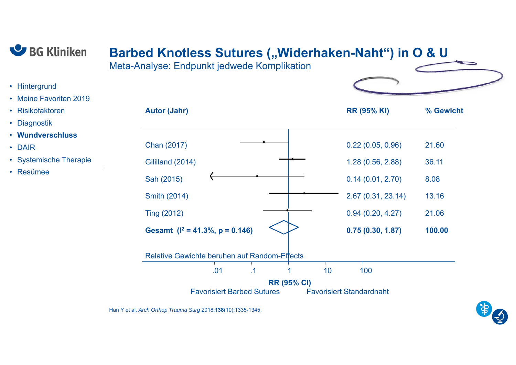

• Meine Favoriten 2019

• Hintergrund

• Risikofaktoren

• **Wundverschluss**

• Systemische Therapie

• Diagnostik

• Resümee

• DAIR

# **Barbed Knotless Sutures ("Widerhaken-Naht") in O & U**

Meta-Analyse: Endpunkt jedwede Komplikation



| <b>Autor (Jahr)</b>                                 | <b>RR (95% KI)</b>              | % Gewicht |
|-----------------------------------------------------|---------------------------------|-----------|
| Chan (2017)                                         | 0.22(0.05, 0.96)                | 21.60     |
| Gililland (2014)                                    | 1.28(0.56, 2.88)                | 36.11     |
| Sah (2015)                                          | 0.14(0.01, 2.70)                | 8.08      |
| <b>Smith (2014)</b>                                 | 2.67(0.31, 23.14)               | 13.16     |
| <b>Ting (2012)</b>                                  | 0.94(0.20, 4.27)                | 21.06     |
| Gesamt ( $I^2$ = 41.3%, p = 0.146)                  | 0.75(0.30, 1.87)                | 100.00    |
| <b>Relative Gewichte beruhen auf Random-Effects</b> |                                 |           |
| .01<br>.1                                           | 10<br>100                       |           |
| <b>RR (95% CI)</b>                                  |                                 |           |
| <b>Favorisiert Barbed Sutures</b>                   | <b>Favorisiert Standardnaht</b> |           |

Han Y et al. *Arch Orthop Trauma Surg* 2018;**138**(10):1335-1345.

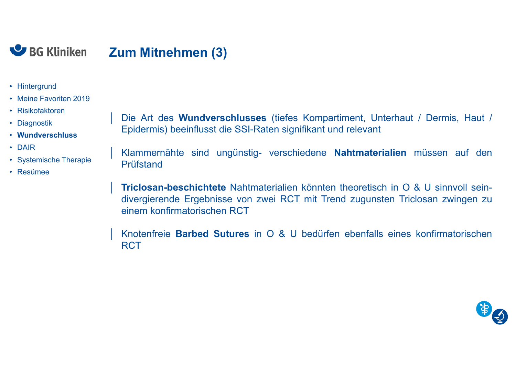

- Hintergrund
- Meine Favoriten 2019
- Risikofaktoren
- Diagnostik
- **Wundverschluss**
- DAIR
- Systemische Therapie
- Resümee

│ Die Art des **Wundverschlusses** (tiefes Kompartiment, Unterhaut / Dermis, Haut / Epidermis) beeinflusst die SSI-Raten signifikant und relevant

│ Klammernähte sind ungünstig- verschiedene **Nahtmaterialien** müssen auf den Prüfstand

│ **Triclosan-beschichtete** Nahtmaterialien könnten theoretisch in <sup>O</sup> & <sup>U</sup> sinnvoll seindivergierende Ergebnisse von zwei RCT mit Trend zugunsten Triclosan zwingen zu einem konfirmatorischen RCT

│ Knotenfreie **Barbed Sutures** in <sup>O</sup> & <sup>U</sup> bedürfen ebenfalls eines konfirmatorischen **RCT** 

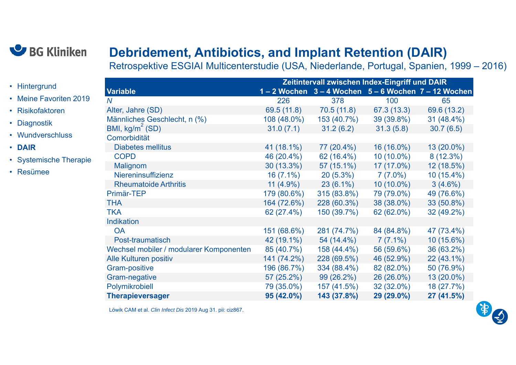

• Meine Favoriten 2019

• Systemische Therapie

• Hintergrund

• Risikofaktoren

• Wundverschluss

• Diagnostik

• Resümee

• **DAIR**

### **Debridement, Antibiotics, and Implant Retention (DAIR)**

Retrospektive ESGIAI Multicenterstudie (USA, Niederlande, Portugal, Spanien, 1999 – 2016)

|                                         | <b>Zeitintervall zwischen Index-Eingriff und DAIR</b> |                                              |              |              |  |  |
|-----------------------------------------|-------------------------------------------------------|----------------------------------------------|--------------|--------------|--|--|
| <b>Variable</b>                         |                                                       | 1-2 Wochen 3-4 Wochen 5-6 Wochen 7-12 Wochen |              |              |  |  |
| $\overline{N}$                          | 226                                                   | 378                                          | 100          | 65           |  |  |
| Alter, Jahre (SD)                       | 69.5 (11.8)                                           | 70.5(11.8)                                   | 67.3 (13.3)  | 69.6 (13.2)  |  |  |
| Männliches Geschlecht, n (%)            | 108 (48.0%)                                           | 153 (40.7%)                                  | 39 (39.8%)   | 31 (48.4%)   |  |  |
| BMI, $kg/m^2$ (SD)                      | 31.0(7.1)                                             | 31.2(6.2)                                    | 31.3(5.8)    | 30.7(6.5)    |  |  |
| Comorbidität                            |                                                       |                                              |              |              |  |  |
| <b>Diabetes mellitus</b>                | 41 (18.1%)                                            | 77 (20.4%)                                   | 16 (16.0%)   | 13 (20.0%)   |  |  |
| <b>COPD</b>                             | 46 (20.4%)                                            | 62 (16.4%)                                   | $10(10.0\%)$ | 8(12.3%)     |  |  |
| Malignom                                | 30 (13.3%)                                            | 57 (15.1%)                                   | $17(17.0\%)$ | 12 (18.5%)   |  |  |
| Niereninsuffizienz                      | $16(7.1\%)$                                           | $20(5.3\%)$                                  | 7 (7.0%)     | $10(15.4\%)$ |  |  |
| <b>Rheumatoide Arthritis</b>            | $11(4.9\%)$                                           | $23(6.1\%)$                                  | $10(10.0\%)$ | $3(4.6\%)$   |  |  |
| Primär-TEP                              | 179 (80.6%)                                           | 315 (83.8%)                                  | 79 (79.0%)   | 49 (76.6%)   |  |  |
| <b>THA</b>                              | 164 (72.6%)                                           | 228 (60.3%)                                  | 38 (38.0%)   | 33 (50.8%)   |  |  |
| <b>TKA</b>                              | 62 (27.4%)                                            | 150 (39.7%)                                  | 62 (62.0%)   | 32 (49.2%)   |  |  |
| <b>Indikation</b>                       |                                                       |                                              |              |              |  |  |
| <b>OA</b>                               | 151 (68.6%)                                           | 281 (74.7%)                                  | 84 (84.8%)   | 47 (73.4%)   |  |  |
| Post-traumatisch                        | 42 (19.1%)                                            | 54 (14.4%)                                   | $7(7.1\%)$   | 10 (15.6%)   |  |  |
| Wechsel mobiler / modularer Komponenten | 85 (40.7%)                                            | 158 (44.4%)                                  | 56 (59.6%)   | 36 (63.2%)   |  |  |
| <b>Alle Kulturen positiv</b>            | 141 (74.2%)                                           | 228 (69.5%)                                  | 46 (52.9%)   | 22 (43.1%)   |  |  |
| <b>Gram-positive</b>                    | 196 (86.7%)                                           | 334 (88.4%)                                  | 82 (82.0%)   | 50 (76.9%)   |  |  |
| Gram-negative                           | 57 (25.2%)                                            | 99 (26.2%)                                   | 26 (26.0%)   | 13 (20.0%)   |  |  |
| Polymikrobiell                          | 79 (35.0%)                                            | 157 (41.5%)                                  | 32 (32.0%)   | 18 (27.7%)   |  |  |
| <b>Therapieversager</b>                 | 95 (42.0%)                                            | 143 (37.8%)                                  | 29 (29.0%)   | 27 (41.5%)   |  |  |

Löwik CAM et al. *Clin Infect Dis* 2019 Aug 31. pii: ciz867.

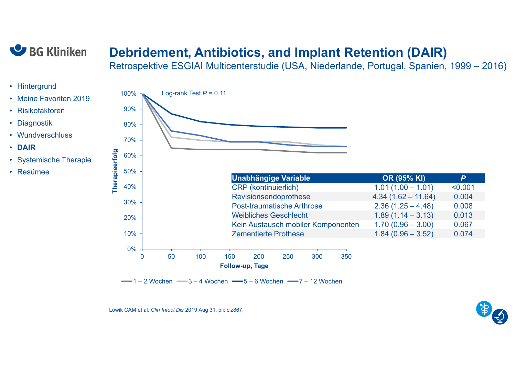

### **Debridement, Antibiotics, and Implant Retention (DAIR)**

Retrospektive ESGIAI Multicenterstudie (USA, Niederlande, Portugal, Spanien, 1999 – 2016)

- Hintergrund
- Meine Favoriten 2019
- Risikofaktoren
- Diagnostik
- Wundverschluss
- **DAIR**
- Systemische Therapie
- Resümee



 $-1 - 2$  Wochen  $-3 - 4$  Wochen  $-5 - 6$  Wochen  $-7 - 12$  Wochen

Löwik CAM et al. *Clin Infect Dis* 2019 Aug 31. pii: ciz867.

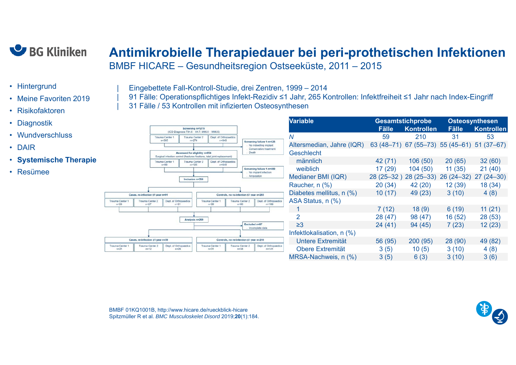

#### **Antimikrobielle Therapiedauer bei peri-prothetischen Infektione n** BMBF HICARE – Gesundheitsregion Ostseeküste, 2011 – 2015

- Hintergrund
- Meine Favoriten 2019
- Risikofaktoren
- Diagnostik
- Wundverschluss
- DAIR
- **Systemische Therapie**
- Resümee

| Eingebettete Fall-Kontroll-Studie, drei Zentren, 1999 – 2014

| 91 Fälle: Operationspflichtiges Infekt-Rezidiv ≤1 Jahr, 265 Kontrollen: Infektfreiheit ≤1 Jahr nach Index-Eingriff | 31 Fälle / 53 Kontrollen mit infizierten Osteosynthesen

|                             |                                    |                                   |                                                                                                            |                                    |                                                                              | <b>Variable</b>           |               | <b>Gesamtstichprobe</b>          |              | <b>Osteosynthesen</b> |  |
|-----------------------------|------------------------------------|-----------------------------------|------------------------------------------------------------------------------------------------------------|------------------------------------|------------------------------------------------------------------------------|---------------------------|---------------|----------------------------------|--------------|-----------------------|--|
|                             |                                    |                                   | Screening n=1279<br>(ICD-Diagnosis T84.5 - 84.7, M86.0 - M86.9)                                            |                                    |                                                                              |                           | <b>Fälle</b>  | <b>Kontrollen</b>                | <b>Fälle</b> | <b>Kontrollen</b>     |  |
|                             |                                    | Trauma Center 1<br>$n = 365$      | Trauma Center 2<br>$n = 274$                                                                               | Dept. of Orthopaedics<br>$n = 640$ |                                                                              | Ν                         | 59            | 210                              | 31           | 53                    |  |
|                             |                                    |                                   |                                                                                                            |                                    | Screening failure 1 n=425<br>No indwelling implant<br>Conservative treatment | Altersmedian, Jahre (IQR) | $63(48 - 71)$ | 67 (55-73) 55 (45-61) 51 (37-67) |              |                       |  |
|                             |                                    |                                   | Assessed for eligbility n=854<br>Surgical infection control (fractures fixations, total joint replacement) |                                    | Death                                                                        | Geschlecht                |               |                                  |              |                       |  |
|                             |                                    | Trauma Center 1<br>$n = 89$       | Trauma Center 2<br>$n = 125$                                                                               | Dept. of Orthopaedics<br>$n = 640$ |                                                                              | männlich                  | 42 (71)       | 106(50)                          | 20(65)       | 32(60)                |  |
|                             |                                    |                                   |                                                                                                            |                                    | Screening failure 1 n=489<br>No implant infection                            | weiblich                  | 17 (29)       | 104(50)                          | 11(35)       | 21(40)                |  |
|                             |                                    |                                   | Inclusion n=356                                                                                            |                                    | Amputation                                                                   | Medianer BMI (IQR)        | $28(25 - 32)$ | $28(25-33)$                      | $26(24-32)$  | $27(24-30)$           |  |
|                             |                                    |                                   |                                                                                                            |                                    |                                                                              | Raucher, n (%)            | 20(34)        | 42 (20)                          | 12(39)       | 18 (34)               |  |
|                             | Cases, re-infection ≤1 year n=91   |                                   |                                                                                                            |                                    | Controls, no re-infection ≤1 year n=265                                      | Diabetes mellitus, n (%)  | 10(17)        | 49 (23)                          | 3(10)        | 4(8)                  |  |
| Trauma Center 1<br>$n = 33$ | <b>Trauma Center 2</b><br>$n = 27$ | Dept. of Orthopaedics<br>$n = 31$ |                                                                                                            | Trauma Center 1<br>$n = 39$        | Dept. of Orthopaedics<br>Trauma Center 2<br>$n = 166$<br>$n = 60$            | ASA Status, n (%)         |               |                                  |              |                       |  |
|                             |                                    |                                   |                                                                                                            |                                    |                                                                              |                           | 7(12)         | 18(9)                            | 6(19)        | 11(21)                |  |
|                             |                                    |                                   | Analysis n=269                                                                                             |                                    |                                                                              | 2                         | 28(47)        | 98 (47)                          | 16(52)       | 28 (53)               |  |
|                             |                                    |                                   |                                                                                                            |                                    | Excluded n=87<br>Incomplete data                                             | $\geq$ 3                  | 24(41)        | 94 (45)                          | 7(23)        | 12(23)                |  |
|                             |                                    |                                   |                                                                                                            |                                    |                                                                              | Infektlokalisation, n (%) |               |                                  |              |                       |  |
|                             | Cases, re-infection ≤1 year n=59   |                                   |                                                                                                            |                                    | Controls, no re-infection ≤1 year n=210                                      | Untere Extremität         | 56 (95)       | 200(95)                          | 28(90)       | 49 (82)               |  |
| Trauma Center 1<br>$n = 21$ | Trauma Center 2<br>$n = 12$        | Dept. of Orthopaedics<br>$n = 26$ |                                                                                                            | Trauma Center 1<br>$n = 31$        | Dept. of Orthopaedics<br>Trauma Center 2<br>$n = 38$<br>$n = 141$            | <b>Obere Extremität</b>   | 3(5)          | 10(5)                            | 3(10)        | 4(8)                  |  |
|                             |                                    |                                   |                                                                                                            |                                    |                                                                              | MRSA-Nachweis, n (%)      | 3(5)          | 6(3)                             | 3(10)        | 3(6)                  |  |
|                             |                                    |                                   |                                                                                                            |                                    |                                                                              |                           |               |                                  |              |                       |  |

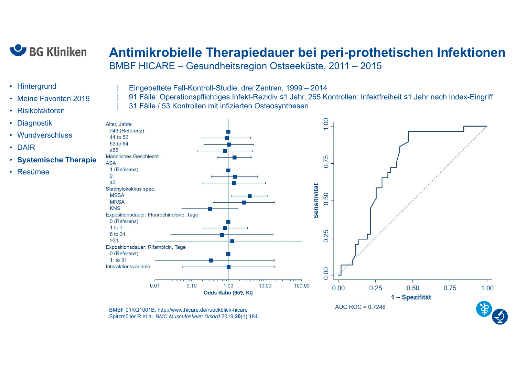

#### **Antimikrobielle Therapiedauer bei peri-prothetischen Infektione n** BMBF HICARE – Gesundheitsregion Ostseeküste, 2011 – 2015

- Hintergrund
- •Meine Favoriten 2019
- •Risikofaktoren
- •**Diagnostik**
- •Wundverschluss
- DAIR
- •**Systemische Therapie**
- Resümee



| 91 Fälle: Operationspflichtiges Infekt-Rezidiv ≤1 Jahr, 265 Kontrollen: Infektfreiheit ≤1 Jahr nach Index-Eingriff | 31 Fälle / 53 Kontrollen mit infizierten Osteosynthesen



BMBF 01KQ1001B, http://www.hicare.de/rueckblick-hicare Spitzmüller R et al. *BMC Musculoskelet Disord* 2019;**20**(1):184.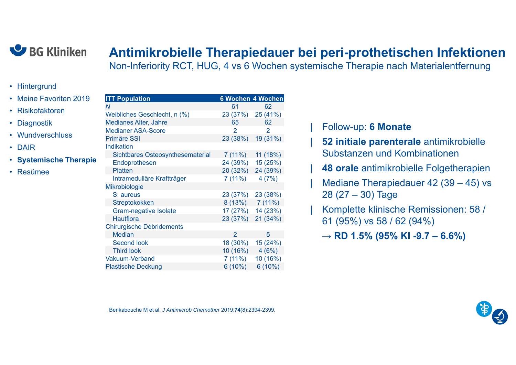

#### **Antimikrobielle Therapiedauer bei peri-prothetischen Infektione n**

Non-Inferiority RCT, HUG, 4 vs 6 Wochen systemische Therapie nach Materialentfernung

- Hintergrund
- Meine Favoriten 2019
- Risikofaktoren
- Diagnostik
- Wundverschluss
- DAIR
- **Systemische Therapie**
- Resümee

| <b>ITT Population</b>                   |                | 6 Wochen 4 Wochen |
|-----------------------------------------|----------------|-------------------|
| N                                       | 61             | 62                |
| Weibliches Geschlecht, n (%)            | 23 (37%)       | 25 (41%)          |
| <b>Medianes Alter, Jahre</b>            | 65             | 62                |
| <b>Medianer ASA-Score</b>               | $\mathcal{P}$  | 2                 |
| <b>Primäre SSI</b>                      | 23 (38%)       | 19 (31%)          |
| <b>Indikation</b>                       |                |                   |
| <b>Sichtbares Osteosynthesematerial</b> | 7 (11%)        | 11 (18%)          |
| Endoprothesen                           | 24 (39%)       | 15 (25%)          |
| <b>Platten</b>                          | 20 (32%)       | 24 (39%)          |
| Intramedulläre Kraftträger              | 7(11%)         | 4(7%)             |
| Mikrobiologie                           |                |                   |
| S. aureus                               | 23 (37%)       | 23 (38%)          |
| Streptokokken                           |                | $8(13\%)$ 7 (11%) |
| Gram-negative Isolate                   | 17 (27%)       | 14 (23%)          |
| <b>Hautflora</b>                        | 23 (37%)       | 21 (34%)          |
| <b>Chirurgische Débridements</b>        |                |                   |
| <b>Median</b>                           | $\overline{2}$ | 5                 |
| <b>Second look</b>                      | 18 (30%)       | 15 (24%)          |
| <b>Third look</b>                       | 10 (16%)       | 4(6%)             |
| <b>Vakuum-Verband</b>                   | 7(11%)         | 10 (16%)          |
| <b>Plastische Deckung</b>               | 6(10%)         | $6(10\%)$         |

#### | Follow-up: **6 Monate**

| **52 initiale parenterale** antimikrobielle Substanzen und Kombinationen

- **48 orale** antimikrobielle Folgetherapien
- Mediane Therapiedauer 42 (39 45) vs 28 (27 – 30) Tage
- | Komplette klinische Remissionen: 58 / 61 (95%) vs 58 / 62 (94%)
	- <sup>→</sup>**RD 1.5% (95% KI -9.7 – 6.6%)**